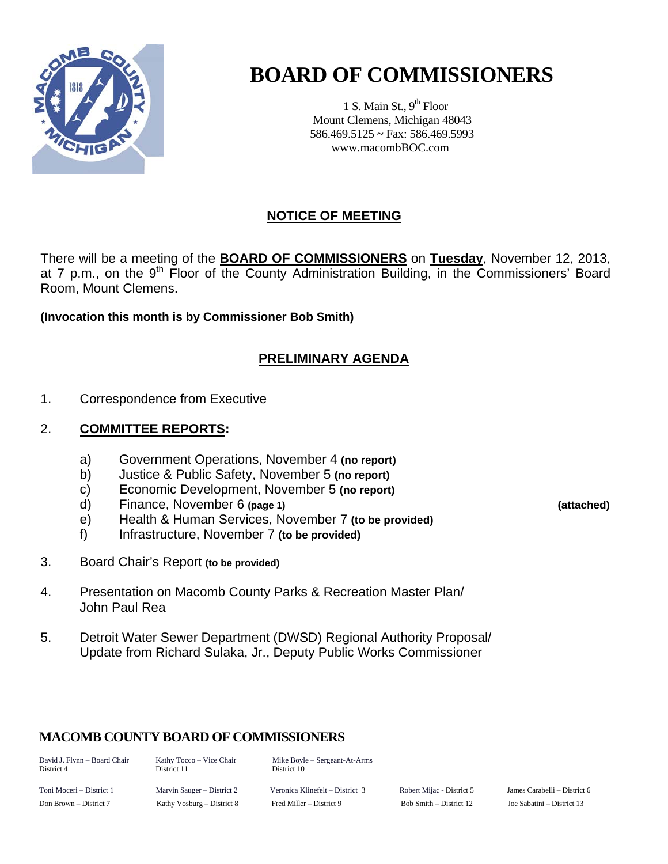

# **BOARD OF COMMISSIONERS**

1 S. Main St.,  $9<sup>th</sup>$  Floor Mount Clemens, Michigan 48043 586.469.5125 ~ Fax: 586.469.5993 www.macombBOC.com

### **NOTICE OF MEETING**

There will be a meeting of the **BOARD OF COMMISSIONERS** on **Tuesday**, November 12, 2013, at 7 p.m., on the 9<sup>th</sup> Floor of the County Administration Building, in the Commissioners' Board Room, Mount Clemens.

**(Invocation this month is by Commissioner Bob Smith)** 

### **PRELIMINARY AGENDA**

1. Correspondence from Executive

### 2. **COMMITTEE REPORTS:**

- a) Government Operations, November 4 **(no report)**
- b) Justice & Public Safety, November 5 **(no report)**
- c) Economic Development, November 5 **(no report)**
- d) Finance, November 6 **(page 1) (attached)**
- e) Health & Human Services, November 7 **(to be provided)**
- f) Infrastructure, November 7 **(to be provided)**
- 3. Board Chair's Report **(to be provided)**
- 4. Presentation on Macomb County Parks & Recreation Master Plan/ John Paul Rea
- 5. Detroit Water Sewer Department (DWSD) Regional Authority Proposal/ Update from Richard Sulaka, Jr., Deputy Public Works Commissioner

### **MACOMB COUNTY BOARD OF COMMISSIONERS**

David J. Flynn – Board Chair Kathy Tocco – Vice Chair Mike Boyle – Sergeant-At-Arms District 4 District 11 District 10

Toni Moceri – District 1 Marvin Sauger – District 2 Veronica Klinefelt – District 3 Robert Mijac - District 5 James Carabelli – District 6 Don Brown – District 7 Kathy Vosburg – District 8 Fred Miller – District 9 Bob Smith – District 12 Joe Sabatini – District 13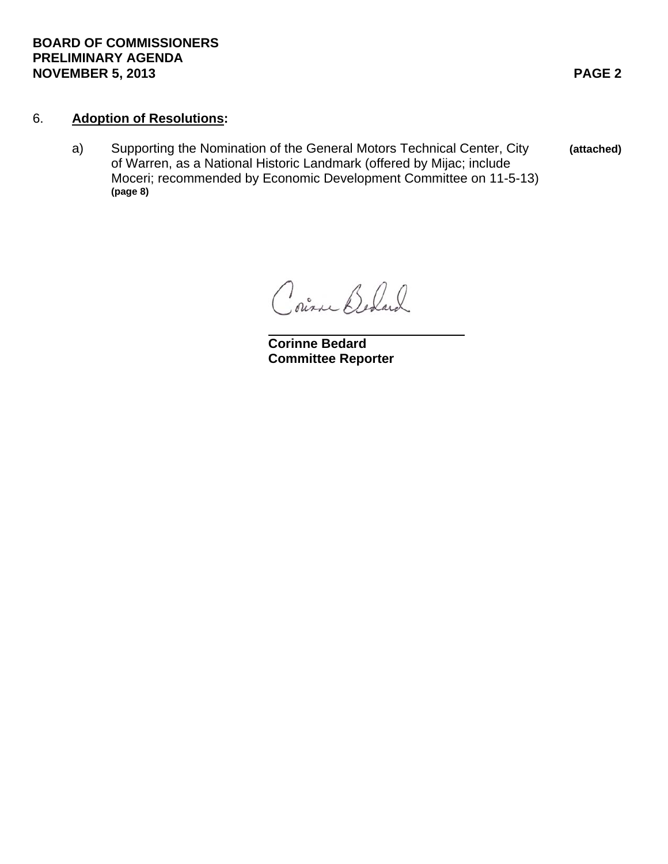### **BOARD OF COMMISSIONERS PRELIMINARY AGENDA NOVEMBER 5, 2013** PAGE 2

### 6. **Adoption of Resolutions:**

 a) Supporting the Nomination of the General Motors Technical Center, City **(attached)**  of Warren, as a National Historic Landmark (offered by Mijac; include Moceri; recommended by Economic Development Committee on 11-5-13) **(page 8)** 

Courne Behard

 **Corinne Bedard Committee Reporter**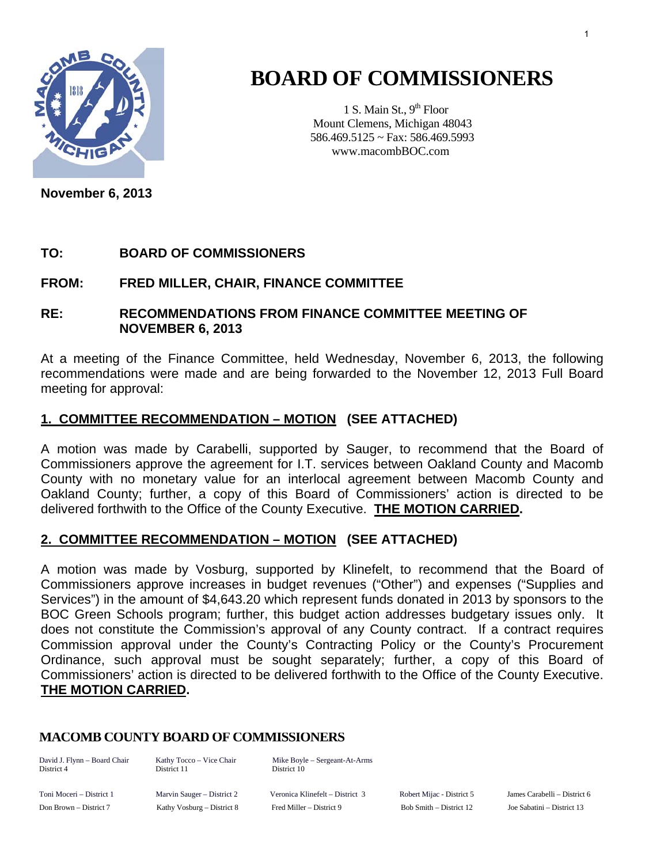

# **BOARD OF COMMISSIONERS**

1 S. Main St.,  $9<sup>th</sup>$  Floor Mount Clemens, Michigan 48043 586.469.5125 ~ Fax: 586.469.5993 www.macombBOC.com

**November 6, 2013** 

### **TO: BOARD OF COMMISSIONERS**

### **FROM: FRED MILLER, CHAIR, FINANCE COMMITTEE**

### **RE: RECOMMENDATIONS FROM FINANCE COMMITTEE MEETING OF NOVEMBER 6, 2013**

At a meeting of the Finance Committee, held Wednesday, November 6, 2013, the following recommendations were made and are being forwarded to the November 12, 2013 Full Board meeting for approval:

### **1. COMMITTEE RECOMMENDATION – MOTION (SEE ATTACHED)**

A motion was made by Carabelli, supported by Sauger, to recommend that the Board of Commissioners approve the agreement for I.T. services between Oakland County and Macomb County with no monetary value for an interlocal agreement between Macomb County and Oakland County; further, a copy of this Board of Commissioners' action is directed to be delivered forthwith to the Office of the County Executive. **THE MOTION CARRIED.** 

### **2. COMMITTEE RECOMMENDATION – MOTION (SEE ATTACHED)**

A motion was made by Vosburg, supported by Klinefelt, to recommend that the Board of Commissioners approve increases in budget revenues ("Other") and expenses ("Supplies and Services") in the amount of \$4,643.20 which represent funds donated in 2013 by sponsors to the BOC Green Schools program; further, this budget action addresses budgetary issues only. It does not constitute the Commission's approval of any County contract. If a contract requires Commission approval under the County's Contracting Policy or the County's Procurement Ordinance, such approval must be sought separately; further, a copy of this Board of Commissioners' action is directed to be delivered forthwith to the Office of the County Executive. **THE MOTION CARRIED.**

### **MACOMB COUNTY BOARD OF COMMISSIONERS**

District 4 District 11 District 10

David J. Flynn – Board Chair Kathy Tocco – Vice Chair Mike Boyle – Sergeant-At-Arms

Toni Moceri – District 1 Marvin Sauger – District 2 Veronica Klinefelt – District 3 Robert Mijac - District 5 James Carabelli – District 6 Don Brown – District 7 Kathy Vosburg – District 8 Fred Miller – District 9 Bob Smith – District 12 Joe Sabatini – District 13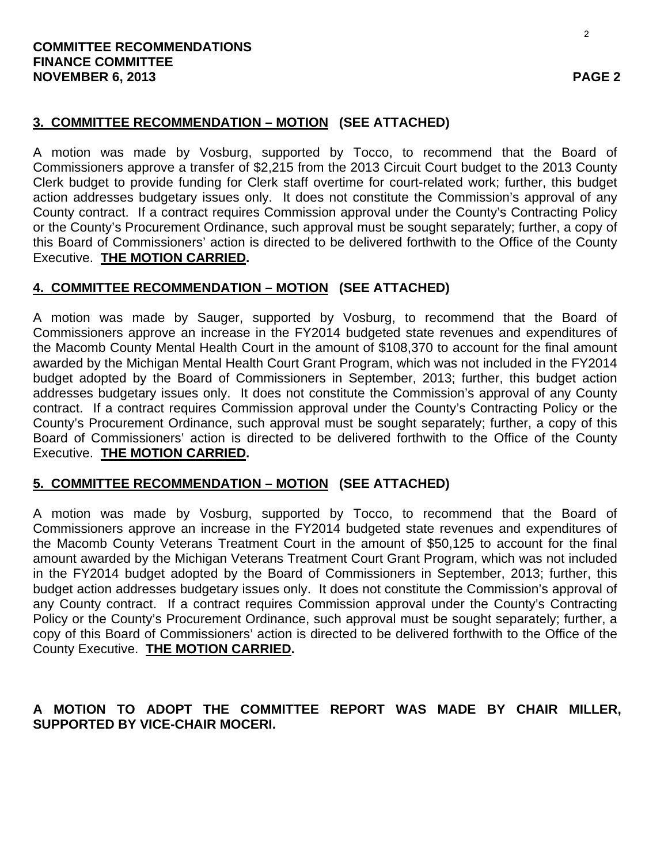### **3. COMMITTEE RECOMMENDATION – MOTION (SEE ATTACHED)**

A motion was made by Vosburg, supported by Tocco, to recommend that the Board of Commissioners approve a transfer of \$2,215 from the 2013 Circuit Court budget to the 2013 County Clerk budget to provide funding for Clerk staff overtime for court-related work; further, this budget action addresses budgetary issues only. It does not constitute the Commission's approval of any County contract. If a contract requires Commission approval under the County's Contracting Policy or the County's Procurement Ordinance, such approval must be sought separately; further, a copy of this Board of Commissioners' action is directed to be delivered forthwith to the Office of the County Executive. **THE MOTION CARRIED.**

### **4. COMMITTEE RECOMMENDATION – MOTION (SEE ATTACHED)**

A motion was made by Sauger, supported by Vosburg, to recommend that the Board of Commissioners approve an increase in the FY2014 budgeted state revenues and expenditures of the Macomb County Mental Health Court in the amount of \$108,370 to account for the final amount awarded by the Michigan Mental Health Court Grant Program, which was not included in the FY2014 budget adopted by the Board of Commissioners in September, 2013; further, this budget action addresses budgetary issues only. It does not constitute the Commission's approval of any County contract. If a contract requires Commission approval under the County's Contracting Policy or the County's Procurement Ordinance, such approval must be sought separately; further, a copy of this Board of Commissioners' action is directed to be delivered forthwith to the Office of the County Executive. **THE MOTION CARRIED.**

### **5. COMMITTEE RECOMMENDATION – MOTION (SEE ATTACHED)**

A motion was made by Vosburg, supported by Tocco, to recommend that the Board of Commissioners approve an increase in the FY2014 budgeted state revenues and expenditures of the Macomb County Veterans Treatment Court in the amount of \$50,125 to account for the final amount awarded by the Michigan Veterans Treatment Court Grant Program, which was not included in the FY2014 budget adopted by the Board of Commissioners in September, 2013; further, this budget action addresses budgetary issues only. It does not constitute the Commission's approval of any County contract. If a contract requires Commission approval under the County's Contracting Policy or the County's Procurement Ordinance, such approval must be sought separately; further, a copy of this Board of Commissioners' action is directed to be delivered forthwith to the Office of the County Executive. **THE MOTION CARRIED.**

### **A MOTION TO ADOPT THE COMMITTEE REPORT WAS MADE BY CHAIR MILLER, SUPPORTED BY VICE-CHAIR MOCERI.**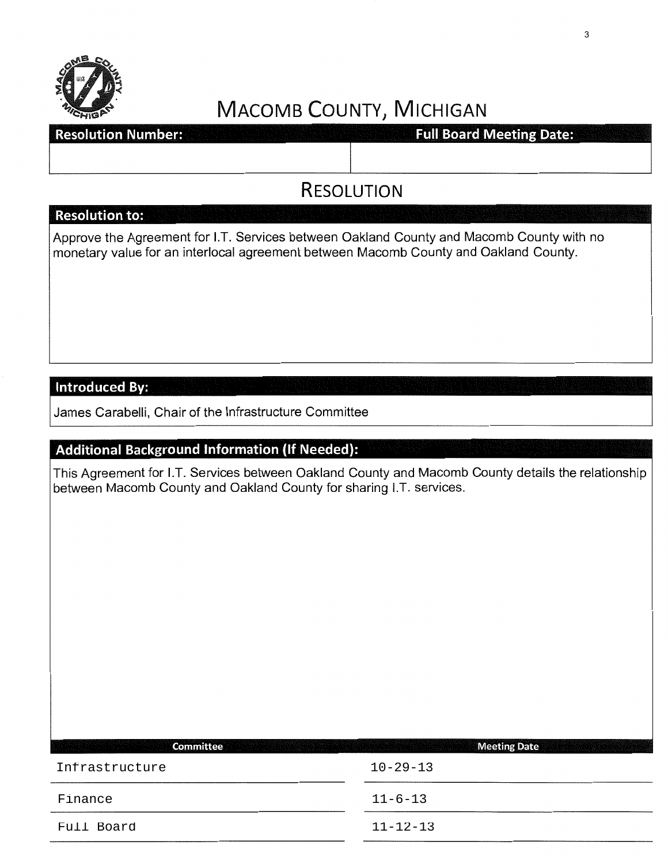

### **Resolution Number:**

**Full Board Meeting Date:** 

## RESOLUTION

### **Resolution to:**

Approve the Agreement for I.T. Services between Oakland County and Macomb County with no monetary value for an interlocal agreement between Macomb County and Oakland County.

### Introduced By:

James Carabelli, Chair of the Infrastructure Committee

### **Additional Background Information** (If **Needed):**

This Agreement for I.T. Services between Oakland County and Macomb County details the relationship between Macomb County and Oakland County for sharing I.T. services.

| <b>Committee</b><br><u>tan ang taong mga kal</u> | <b>Meeting Date</b> |
|--------------------------------------------------|---------------------|
| Infrastructure                                   | $10 - 29 - 13$      |
| Finance                                          | $11 - 6 - 13$       |
| Full Board                                       | $11 - 12 - 13$      |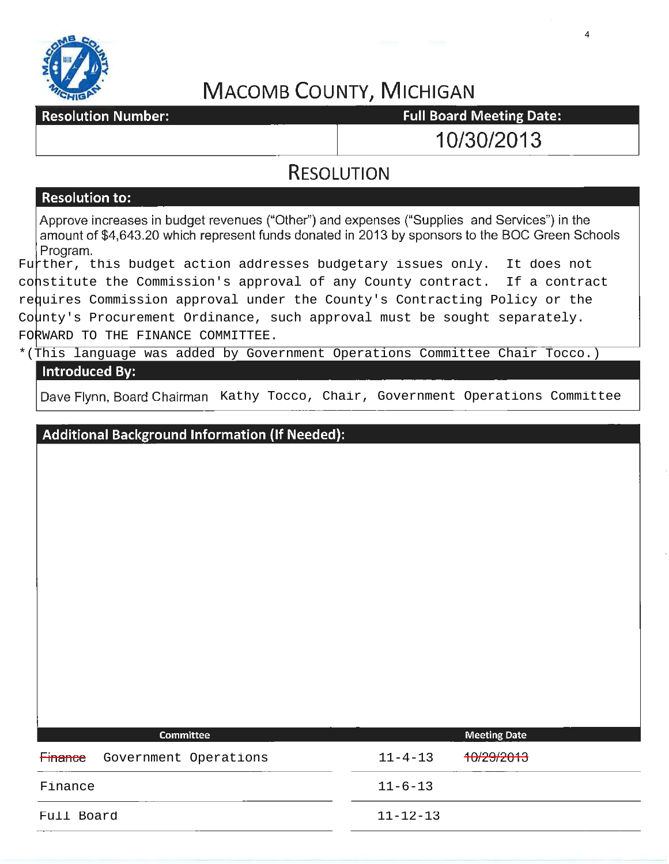

**Resolution Number:** 

**Full Board Meeting Date:** 

10/30/2013

4

### **RESOLUTION**

### **Resolution to:**

Approve increases in budget revenues ("Other") and expenses ("Supplies and Services") in the amount of \$4,643.20 which represent funds donated in 2013 by sponsors to the BOC Green Schools Program.

Further, this budget action addresses budgetary issues only. It does not constitute the Commission's approval of any County contract. If a contract requires Commission approval under the County's Contracting Policy or the County's Procurement Ordinance, such approval must be sought separately. FORWARD TO THE FINANCE COMMITTEE.

### \*(This language was added by Government Operations Committee Chair Tocco.) **Introduced By:**

|                | Dave Flynn, Board Chairman Kathy Tocco, Chair, Government Operations Committee |  |               |                     |  |
|----------------|--------------------------------------------------------------------------------|--|---------------|---------------------|--|
|                | <b>Additional Background Information (If Needed):</b>                          |  |               |                     |  |
|                |                                                                                |  |               |                     |  |
|                |                                                                                |  |               |                     |  |
|                |                                                                                |  |               |                     |  |
|                |                                                                                |  |               |                     |  |
|                |                                                                                |  |               |                     |  |
|                |                                                                                |  |               |                     |  |
|                |                                                                                |  |               |                     |  |
|                | Committee                                                                      |  |               | <b>Meeting Date</b> |  |
| <b>Finance</b> | Government Operations                                                          |  | $11 - 4 - 13$ | 10/29/2013          |  |

| Finance<br>Government Operations | 10/29/2013<br>$11 - 4 - 13$ |  |
|----------------------------------|-----------------------------|--|
| Finance                          | $11 - 6 - 13$               |  |
| Full Board                       | $11 - 12 - 13$              |  |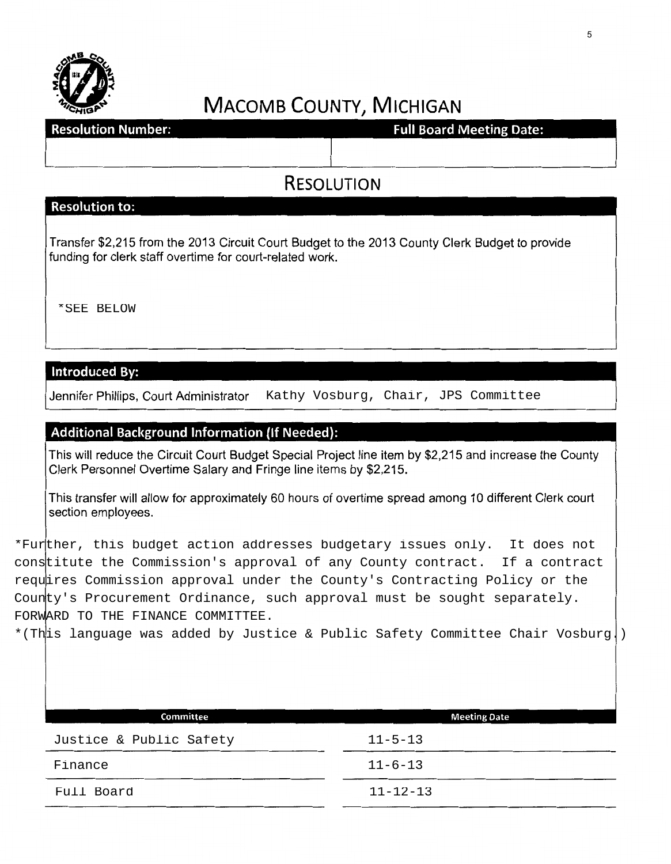

**Resolution Number:** 

**Full Board Meeting Date:** 

**RESOLUTION** 

### **Resolution to:**

Transfer \$2,215 from the 2013 Circuit Court Budget to the 2013 County Clerk Budget to provide funding for clerk staff overtime for court-related work.

Jennifer Phillips, Court Administrator

### **Additional Background Information (If Needed):**

This will reduce the Circuit Court Budget Special Project line item by \$2,215 and increase the County Clerk Personnel Overtime Salary and Fringe line items by \$2,215.

This transfer will allow for approximately 60 hours of overtime spread among 10 different Clerk court section employees.

\*Further, this budget action addresses budgetary issues only. It does not constitute the Commission's approval of any County contract. If a contract requires Commission approval under the County's Contracting Policy or the County's Procurement Ordinance, such approval must be sought separately. FORWARD TO THE FINANCE COMMITTEE. \*SEE BELOW<br>
Introduced By:<br>
Jennifer Phillips, Court Administrator Kathy Vosburg, Chair, JPS Committee<br>
Additional Background Information (If Needed):<br>
This will reduce the Circuit Court Budget Special Project line item by

| Committee               | <b>Meeting Date</b> |
|-------------------------|---------------------|
| Justice & Public Safety | $11 - 5 - 13$       |
| Finance                 | $11 - 6 - 13$       |
| Full Board              | $11 - 12 - 13$      |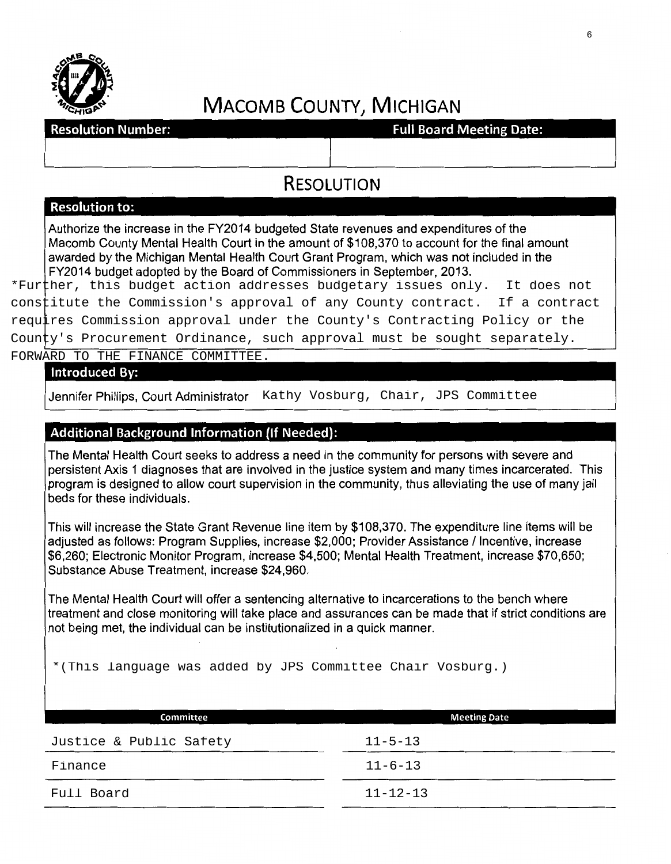

**Resolution Number:** 

**Full Board Meeting Date:** 

## RESOLUTION

### Resolution to:

Authorize the increase in the FY2014 budgeted State revenues and expenditures of the Macomb County Mental Health Court in the amount of \$108,370 to account for the final amount awarded by the Michigan Mental Health Court Grant Program, which was not included in the FY2014 budget adopted by the Board of Commissioners in September, 2013.

\*Further, this budget action addresses budgetary issues only. It does not constitute the Commission's approval of any County contract. If a contract requires Commission approval under the County's Contracting Policy or the County's Procurement Ordinance, such approval must be sought separately.

FORWARD TO THE FINANCE COMMITTEE.

#### **Introduced By:**

Jennifer Phillips, Court Administrator Kathy Vosburg, Chair, JPS Committee

### Additional Background Information (If Needed):

The Mental Health Court seeks to address a need in the community for persons with severe and persistent Axis 1 diagnoses that are involved in the justice system and many times incarcerated. This program is designed to allow court supervision in the community, thus alleviating the use of many jail beds for these individuals.

This will increase the State Grant Revenue line item by \$108,370. The expenditure line items will be adjusted as follows: Program Supplies, increase \$2,000; Provider Assistance / Incentive, increase \$6,260; Electronic Monitor Program, increase \$4,500; Mental Health Treatment, increase \$70,650; Substance Abuse Treatment, increase \$24,960.

The Mental Health Court will offer a sentencing alternative to incarcerations to the bench where treatment and close monitoring will take place and assurances can be made that if strict conditions are not being met, the individual can be institutionalized in a quick manner.

\*(This language was added by JPS Committee Chair Vosburg.)

| <b>Committee</b>        | <b>Meeting Date</b> |
|-------------------------|---------------------|
| Justice & Public Safety | $11 - 5 - 13$       |
| Finance                 | $11 - 6 - 13$       |
| Full Board              | $11 - 12 - 13$      |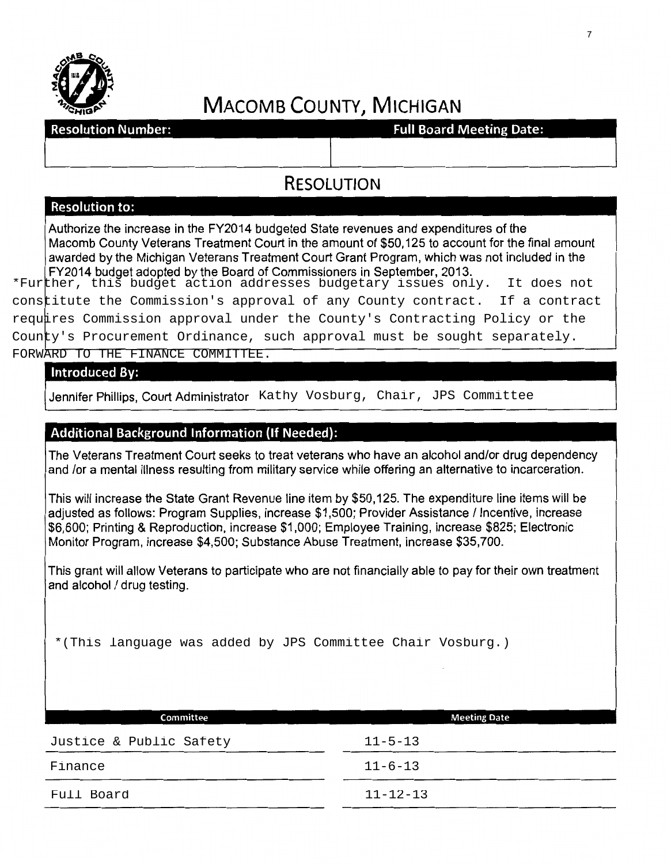

**Resolution Number:** 

**Full Board Meeting Date:** 

### **RESOLUTION**

### **Resolution to:**

Authorize the increase in the FY2014 budgeted State revenues and expenditures of the Macomb County Veterans Treatment Court in the amount of \$50,125 to account for the final amount awarded by the Michigan Veterans Treatment Court Grant Program, which was not included in the FY2014 budget adopted by the Board of Commissioners in September, 2013.

\*Further, this budget action addresses budgetary issues only. It does not constitute the Commission's approval of any County contract. If a contract requires Commission approval under the County's Contracting Policy or the County's Procurement Ordinance, such approval must be sought separately.

FORWARD TO THE FINANCE COMMITTEE.<br>Introduced By:<br>Jennifer Phillips, Court Administrator Kathy Vosburg, Chair, JPS Committee

### **Additional Background Information (If Needed):**

The Veterans Treatment Court seeks to treat veterans who have an alcohol and/or drug dependency and /or a mental illness resulting from military service while offering an alternative to incarceration.

This will increase the State Grant Revenue line item by \$50,125. The expenditure line items will be adiusted as follows: Program Supplies, increase \$1,500; Provider Assistance / Incentive, increase \$6,600; Printing & Reproduction, increase \$1 ,000; Employee Training, increase \$825; Electronic Monitor Program, increase \$4,500; Substance Abuse Treatment, increase \$35,700.

This grant will allow Veterans to participate who are not financially able to pay for their own treatment and alcohol / drug testing.

\*(This language was added by JPS Committee Chair Vosburg.)

| Committee               | <b>Meeting Date</b> |
|-------------------------|---------------------|
| Justice & Public Safety | $11 - 5 - 13$       |
| Finance                 | $11 - 6 - 13$       |
| Full Board              | $11 - 12 - 13$      |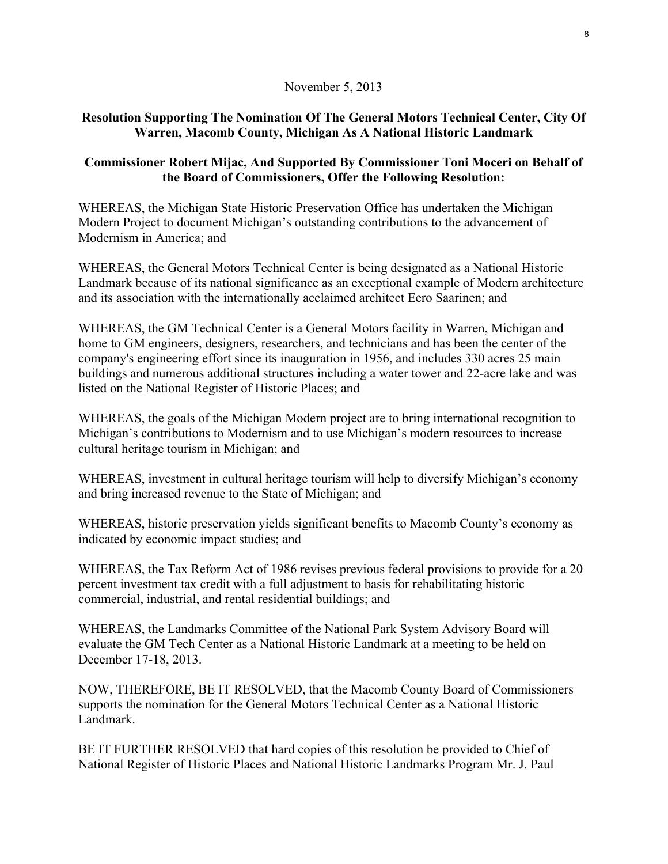### November 5, 2013

### **Resolution Supporting The Nomination Of The General Motors Technical Center, City Of Warren, Macomb County, Michigan As A National Historic Landmark**

### **Commissioner Robert Mijac, And Supported By Commissioner Toni Moceri on Behalf of the Board of Commissioners, Offer the Following Resolution:**

WHEREAS, the Michigan State Historic Preservation Office has undertaken the Michigan Modern Project to document Michigan's outstanding contributions to the advancement of Modernism in America; and

WHEREAS, the General Motors Technical Center is being designated as a National Historic Landmark because of its national significance as an exceptional example of Modern architecture and its association with the internationally acclaimed architect Eero Saarinen; and

WHEREAS, the GM Technical Center is a General Motors facility in Warren, Michigan and home to GM engineers, designers, researchers, and technicians and has been the center of the company's engineering effort since its inauguration in 1956, and includes 330 acres 25 main buildings and numerous additional structures including a water tower and 22-acre lake and was listed on the National Register of Historic Places; and

WHEREAS, the goals of the Michigan Modern project are to bring international recognition to Michigan's contributions to Modernism and to use Michigan's modern resources to increase cultural heritage tourism in Michigan; and

WHEREAS, investment in cultural heritage tourism will help to diversify Michigan's economy and bring increased revenue to the State of Michigan; and

WHEREAS, historic preservation yields significant benefits to Macomb County's economy as indicated by economic impact studies; and

WHEREAS, the Tax Reform Act of 1986 revises previous federal provisions to provide for a 20 percent investment tax credit with a full adjustment to basis for rehabilitating historic commercial, industrial, and rental residential buildings; and

WHEREAS, the Landmarks Committee of the National Park System Advisory Board will evaluate the GM Tech Center as a National Historic Landmark at a meeting to be held on December 17-18, 2013.

NOW, THEREFORE, BE IT RESOLVED, that the Macomb County Board of Commissioners supports the nomination for the General Motors Technical Center as a National Historic Landmark.

BE IT FURTHER RESOLVED that hard copies of this resolution be provided to Chief of National Register of Historic Places and National Historic Landmarks Program Mr. J. Paul